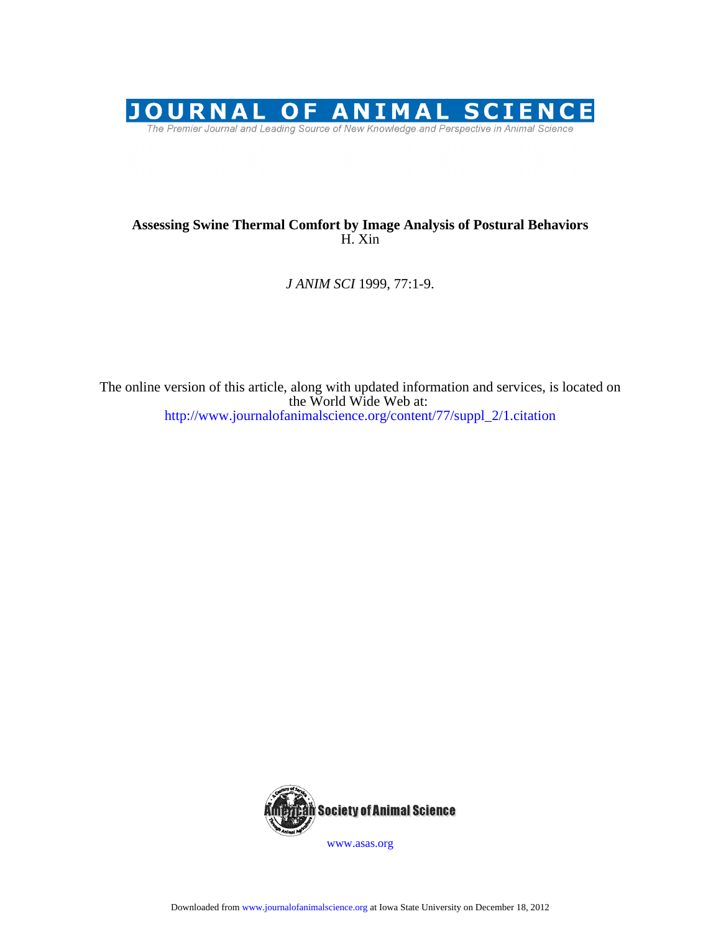

# H. Xin **Assessing Swine Thermal Comfort by Image Analysis of Postural Behaviors**

*J ANIM SCI* 1999, 77:1-9.

http://www.journalofanimalscience.org/content/77/suppl\_2/1.citation the World Wide Web at: The online version of this article, along with updated information and services, is located on



www.asas.org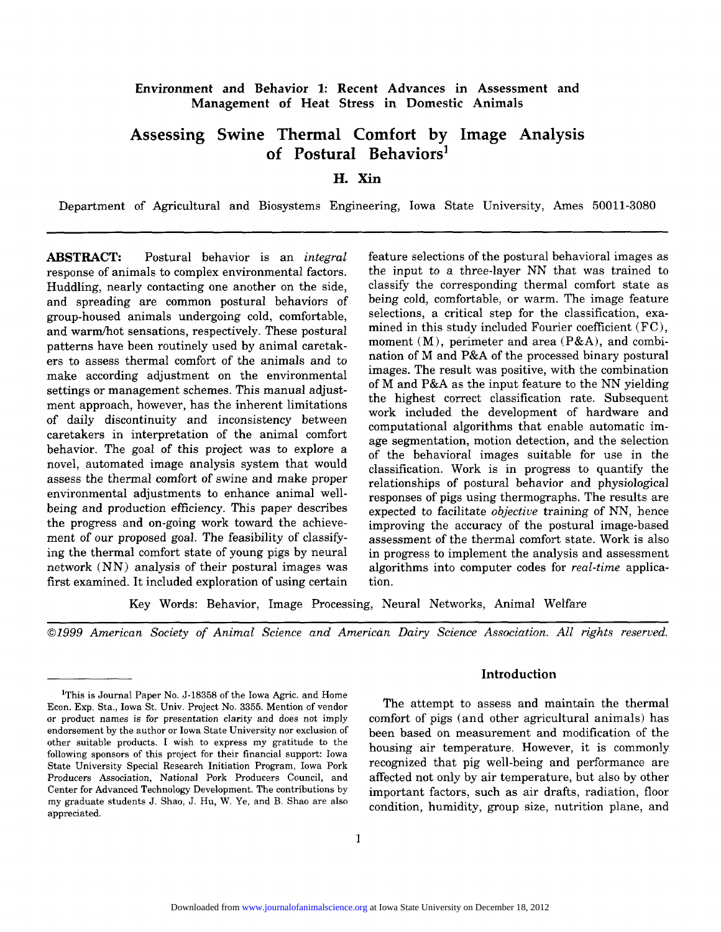## **Environment and Behavior 1: Recent Advances in Assessment and Management of Heat Stress in Domestic Animals**

# **Assessing Swine Thermal Comfort by Image Analysis of Postural Behaviors'**

# **H. Xin**

Department of Agricultural and Biosystems Engineering, Iowa State University, Ames 50011-3080

ABSTRACT: Postural behavior is an *integral*  response of animals to complex environmental factors. Huddling, nearly contacting one another on the side, and spreading are common postural behaviors of group-housed animals undergoing cold, comfortable, and warm/hot sensations, respectively. These postural patterns have been routinely used by animal caretakers to assess thermal comfort of the animals and to make according adjustment on the environmental settings or management schemes. This manual adjustment approach, however, has the inherent limitations of daily discontinuity and inconsistency between caretakers in interpretation of the animal comfort behavior. The goal of this project was to explore a novel, automated image analysis system that would assess the thermal comfort of swine and make proper environmental adjustments to enhance animal wellbeing and production efficiency. This paper describes the progress and on-going work toward the achievement of our proposed goal. The feasibility of classifying the thermal comfort state of young pigs by neural network (NN) analysis of their postural images was first examined. It included exploration of using certain feature selections of the postural behavioral images as the input to a three-layer NN that was trained to classify the corresponding thermal comfort state as being cold, comfortable, or warm. The image feature selections, a critical step for the classification, examined in this study included Fourier coefficient (FC), moment (M), perimeter and area **(P&A),** and combination of M and P&A of the processed binary postural images. The result was positive, with the combination of M and **P&A** as the input feature to the NN yielding the highest correct classification rate. Subsequent work included the development of hardware and computational algorithms that enable automatic image segmentation, motion detection, and the selection of the behavioral images suitable for use in the classification. Work is in progress to quantify the relationships of postural behavior and physiological responses of pigs using thermographs. The results are expected to facilitate *objective* training of **NN,** hence improving the accuracy of the postural image-based assessment of the thermal comfort state. Work is also in progress to implement the analysis and assessment algorithms into computer codes for *real-time* application.

Key Words: Behavior, Image Processing, Neural Networks, Animal Welfare

02999 *American Society of Animal Science and American Dairy Science Association. All rights reserved.* 

#### **Introduction**

The attempt to assess and maintain the thermal comfort of pigs (and other agricultural animals) has been based on measurement and modification of the housing air temperature. However, it is commonly recognized that pig well-being and performance are affected not only by air temperature, but also by other important factors, such as air drafts, radiation, floor condition, humidity, group size, nutrition plane, and

<sup>&#</sup>x27;This is Journal Paper No. **5-18358 of** the Iowa Agric. and Home Econ. Exp. Sta., Iowa St. Univ. Project No. **3355.** Mention **of** vendor or product names is for presentation clarity and does not imply endorsement by the author or Iowa State University nor exclusion of other suitable products. I wish to express my gratitude to the following sponsors of this project for their financial support: Iowa State University Special Research Initiation Program, Iowa Pork Producers Association, National Pork Producers Council, and Center **for** Advanced Technology Development. The contributions by my graduate students J. Shao, J. Hu, **W.** Ye, and B. Shao are also appreciated.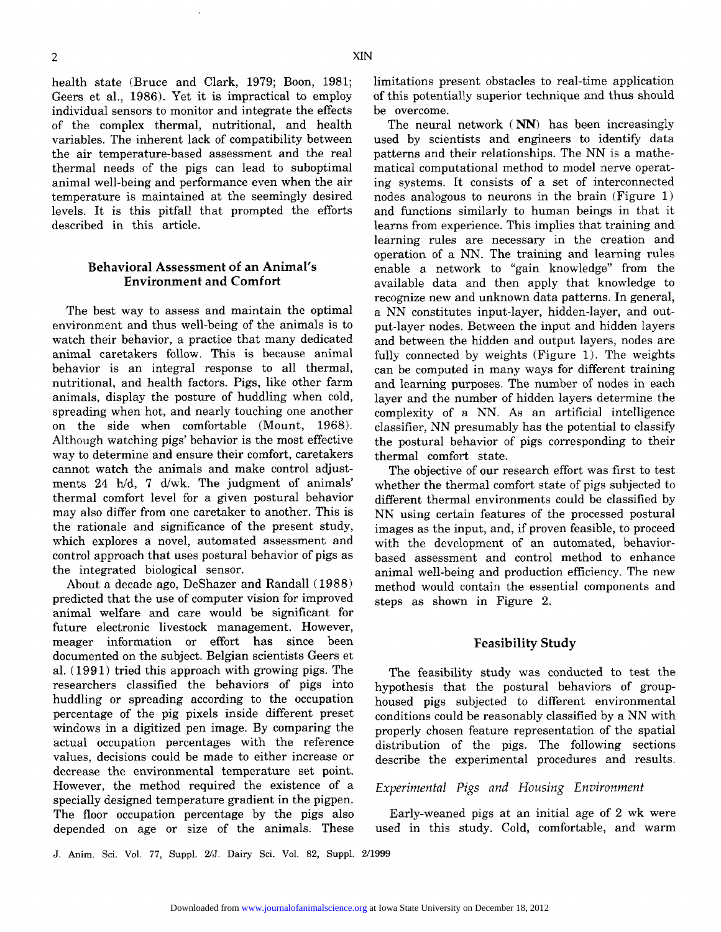health state (Bruce and Clark, **1979;** Boon, **1981;**  Geers et al., **1986).** Yet it is impractical to employ individual sensors to monitor and integrate the effects of the complex thermal, nutritional, and health variables. The inherent lack of compatibility between the air temperature-based assessment and the real thermal needs of the pigs can lead to suboptimal animal well-being and performance even when the air temperature is maintained at the seemingly desired levels. It is this pitfall that prompted the efforts described in this article.

## **Behavioral Assessment of an Animal's Environment and Comfort**

The best way to assess and maintain the optimal environment and thus well-being of the animals is to watch their behavior, a practice that many dedicated animal caretakers follow. This is because animal behavior is an integral response to all thermal, nutritional, and health factors. Pigs, like other farm animals, display the posture of huddling when cold, spreading when hot, and nearly touching one another on the side when comfortable (Mount, **1968).**  Although watching pigs' behavior is the most effective way to determine and ensure their comfort, caretakers cannot watch the animals and make control adjustments 24 h/d, 7 d/wk. The judgment of animals' thermal comfort level for a given postural behavior may also differ from one caretaker to another. This is the rationale and significance of the present study, which explores a novel, automated assessment and control approach that uses postural behavior of pigs as the integrated biological sensor.

About a decade ago, DeShazer and Randall ( **1988)**  predicted that the use of computer vision for improved animal welfare and care would be significant for future electronic livestock management. However, meager information or effort has since been documented on the subject. Belgian scientists Geers et al. **(1991)** tried this approach with growing pigs. The researchers classified the behaviors of pigs into huddling or spreading according to the occupation percentage of the pig pixels inside different preset windows in a digitized pen image. By comparing the actual occupation percentages with the reference values, decisions could be made to either increase or decrease the environmental temperature set point. However, the method required the existence of a specially designed temperature gradient in the pigpen. The floor occupation percentage by the pigs also depended on age or size of the animals. These

limitations present obstacles to real-time application of this potentially superior technique and thus should be overcome.

The neural network ( **NN)** has been increasingly used by scientists and engineers to identify data patterns and their relationships. The **NN** is a mathematical computational method to model nerve operating systems. It consists of a set of interconnected nodes analogous to neurons in the brain (Figure **1)**  and functions similarly to human beings in that it learns from experience. This implies that training and learning rules are necessary in the creation and operation of a **NN.** The training and learning rules enable a network to "gain knowledge" from the available data and then apply that knowledge to recognize new and unknown data patterns. In general, a **NN** constitutes input-layer, hidden-layer, and output-layer nodes. Between the input and hidden layers and between the hidden and output layers, nodes are fully connected by weights (Figure 1). The weights can be computed in many ways for different training and learning purposes. The number of nodes in each layer and the number of hidden layers determine the complexity of a **NN.** As an artificial intelligence classifier, **NN** presumably has the potential to classify the postural behavior of pigs corresponding to their thermal comfort state.

The objective of our research effort was first to test whether the thermal comfort state of pigs subjected to different thermal environments could be classified by **NN** using certain features of the processed postural images as the input, and, if proven feasible, to proceed with the development of an automated, behaviorbased assessment and control method to enhance animal well-being and production efficiency. The new method would contain the essential components and steps as shown in Figure **2.** 

#### **Feasibility Study**

The feasibility study was conducted to test the hypothesis that the postural behaviors of grouphoused pigs subjected to different environmental conditions could be reasonably classified by a **NN** with properly chosen feature representation of the spatial distribution of the pigs. The following sections describe the experimental procedures and results.

#### *Experimental Pigs and Housing Environment*

Early-weaned pigs at an initial age of 2 wk were used in this study. Cold, comfortable, and warm

**J.** him. Sci. **Vol. 77, Suppl. 2/J. Dairy** Sci. **Vol. 82, Suppl. 2/1999**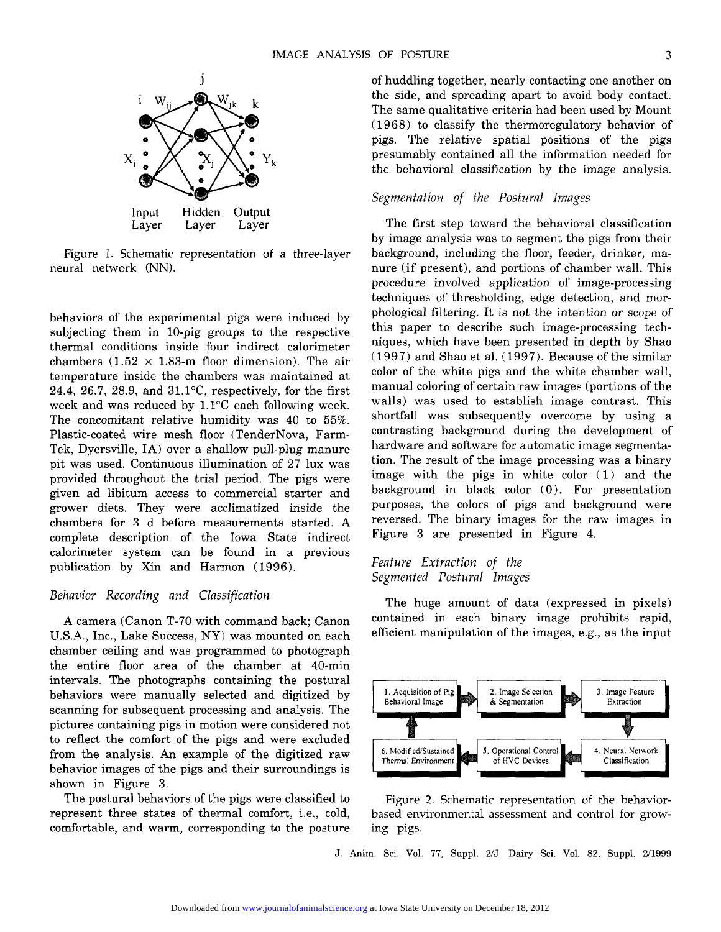

Figure 1. Schematic representation of a three-layer neural network (NN).

behaviors of the experimental pigs were induced by subjecting them in 10-pig groups to the respective thermal conditions inside four indirect calorimeter chambers  $(1.52 \times 1.83$ -m floor dimension). The air temperature inside the chambers was maintained at 24.4, 26.7, 28.9, and  $31.1^{\circ}$ C, respectively, for the first week and was reduced by  $1.1^{\circ}$ C each following week. The concomitant relative humidity was 40 to *55%.*  Plastic-coated wire mesh floor (TenderNova, Farm-Tek, Dyersville, IA) over a shallow pull-plug manure pit was used. Continuous illumination of 27 lux was provided throughout the trial period. The pigs were given ad libitum access to commercial starter and grower diets. They were acclimatized inside the chambers for 3 d before measurements started. **A**  complete description of the Iowa State indirect calorimeter system can be found in a previous publication by Xin and Harmon (1996).

## *Behavior Recording and Classification*

A camera (Canon T-70 with command back; Canon U.S.A., Inc., Lake Success, NY) was mounted on each chamber ceiling and was programmed to photograph the entire floor area of the chamber at 40-min intervals. The photographs containing the postural behaviors were manually selected and digitized by scanning for subsequent processing and analysis. The pictures containing pigs in motion were considered not to reflect the comfort of the pigs and were excluded from the analysis. An example of the digitized raw behavior images of the pigs and their surroundings is shown in Figure 3.

The postural behaviors of the pigs were classified to represent three states of thermal comfort, i.e., cold, comfortable, and warm, corresponding to the posture of huddling together, nearly contacting one another on the side, and spreading apart to avoid body contact. The same qualitative criteria had been used by Mount  $(1968)$  to classify the thermoregulatory behavior of pigs. The relative spatial positions of the pigs presumably contained all the information needed for the behavioral classification by the image analysis.

## *Segmentation of the Postural Images*

The first step toward the behavioral classification by image analysis was to segment the pigs from their background, including the floor, feeder, drinker, manure (if present), and portions of chamber wall. This procedure involved application of image-processing techniques of thresholding, edge detection, and morphological filtering. It is not the intention or scope of this paper to describe such image-processing techniques, which have been presented in depth by Shao (1997) and Shao et al. (1997). Because of the similar color of the white pigs and the white chamber wall, manual coloring of certain raw images (portions of the walls) was used to establish image contrast. This shortfall was subsequently overcome by using a contrasting background during the development of hardware and software for automatic image segmentation. The result of the image processing was a binary image with the pigs in white color (1) and the background in black color *(0).* For presentation purposes, the colors of pigs and background were reversed. The binary images for the raw images in Figure 3 are presented in Figure 4.

## *Feature Extraction of the Segmented Postural Images*

The huge amount of data (expressed in pixels) contained in each binary image prohibits rapid, efficient manipulation of the images, e.g., as the input



Figure 2. Schematic representation of the behaviorbased environmental assessment and control for growing pigs.

**J.** him. Sci. Vol. *77,* Suppl. *2N.* Dairy Sci. Vol. 82, **Suppl.** 2/1999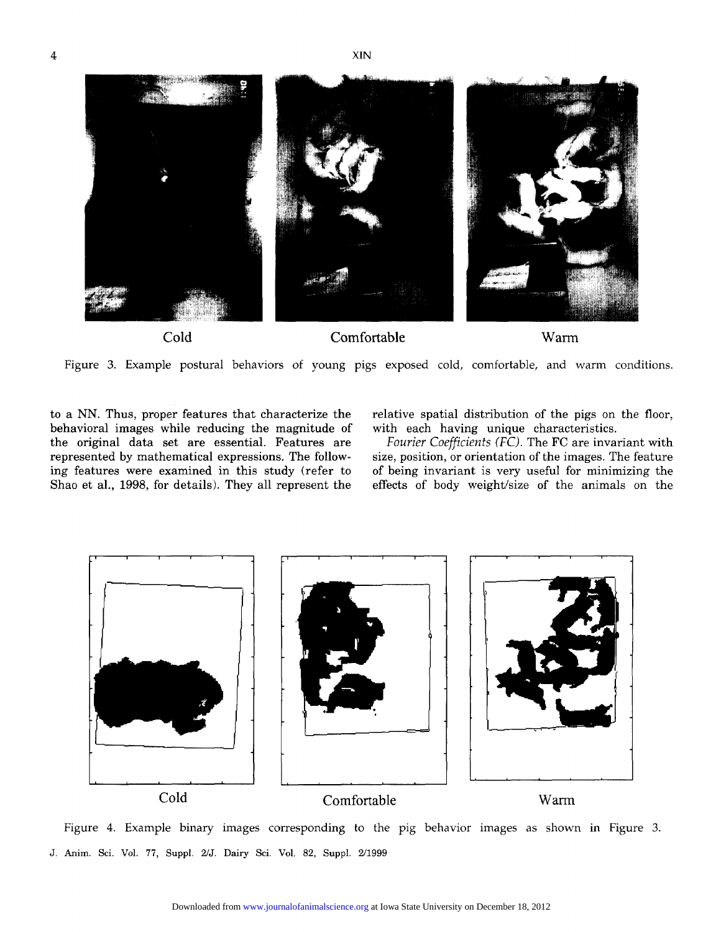

Figure **3.** Example postural behaviors of young pigs exposed cold, comfortable, and warm conditions.

behavioral images while reducing the magnitude of with each having unique characteristics.<br>the original data set are essential. Features are Fourier Coefficients (FC). The FC are invariant with the original data set are essential. Features are represented by mathematical expressions. The follow- size, position, or orientation of the images. The feature ing features were examined in this study (refer to of being invariant is very useful for minimizing the

to a NN. Thus, proper features that characterize the relative spatial distribution of the pigs on the floor, behavioral images while reducing the magnitude of with each having unique characteristics.

effects of body weight/size of the animals on the



Figure 4. Example binary images corresponding to the pig behavior images as shown in Figure *3.*  J. him. **Sci.** Vol. **77, Suppl.** WJ. Dairy **Sci.** Vol. 82, **Suppl.** *<sup>211999</sup>*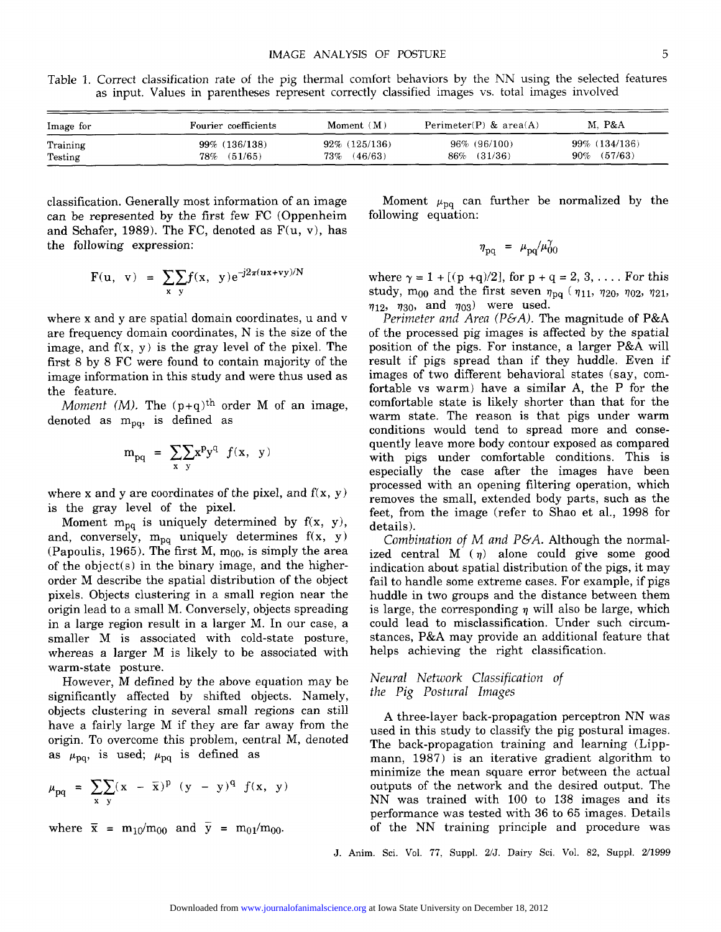Table **1.** Correct classification rate of the pig thermal comfort behaviors by the NN using the selected features as input. Values in parentheses represent correctly classified images vs. total images involved

| Image for | Fourier coefficients | Moment $(M)$      | Perimeter(P) & $area(A)$ | M. P&A           |
|-----------|----------------------|-------------------|--------------------------|------------------|
| Training  | 99% (136/138)        | $92\%$ (125/136)  | $96\%$ (96/100)          | $99\%$ (134/136) |
| Testing   | (51/65)<br>78%       | (46/63)<br>$73\%$ | $86\%$ $(31/36)$         | $90\%$ (57/63)   |

classification. Generally most information of an image can be represented by the first few FC (Oppenheim and Schafer, 1989). The FC, denoted as  $F(u, v)$ , has the following expression:

$$
F(u, v) = \sum_{x} \sum_{y} f(x, y) e^{-j2\pi(ux+vy)/N}
$$

where x and y are spatial domain coordinates, u and v are frequency domain coordinates, N is the size of the image, and  $f(x, y)$  is the gray level of the pixel. The first 8 by 8 FC were found to contain majority of the image information in this study and were thus used as the feature.

*Moment (M)*. The  $(p+q)$ <sup>th</sup> order M of an image, denoted as  $m_{pq}$ , is defined as

$$
m_{pq} = \sum_{x} \sum_{y} x^p y^q f(x, y)
$$

where x and y are coordinates of the pixel, and  $f(x, y)$ is the gray level of the pixel.

Moment  $m_{pq}$  is uniquely determined by  $f(x, y)$ , and, conversely,  $m_{pq}$  uniquely determines  $f(x, y)$ (Papoulis, 1965). The first M,  $m_{00}$ , is simply the area of the object(s) in the binary image, and the higherorder M describe the spatial distribution of the object pixels. Objects clustering in a small region near the origin lead to a small M. Conversely, objects spreading in a large region result in a larger M. In our case, a smaller M is associated with cold-state posture, whereas a larger M is likely to be associated with warm-state posture.

However, M defined by the above equation may be significantly affected by shifted objects. Namely, objects clustering in several small regions can still have a fairly large M if they are far away from the origin. To overcome this problem, central M, denoted as  $\mu_{pq}$ , is used;  $\mu_{pq}$  is defined as

$$
\mu_{pq} = \sum_{x} \sum_{y} (x - \overline{x})^p (y - y)^q f(x, y)
$$

Moment  $\mu_{pq}$  can further be normalized by the following equation:

$$
\eta_{pq} = \mu_{pq}/\mu_{00}^{\gamma}
$$

where  $\gamma = 1 + [(\bar{p} + \bar{q})/2]$ , for  $\bar{p} + \bar{q} = 2, 3, \ldots$ . For this  $\eta_{12}$ ,  $\eta_{30}$ , and  $\eta_{03}$ ) were used. study,  $m_{00}$  and the first seven  $\eta_{pq}$  ( $\eta_{11}$ ,  $\eta_{20}$ ,  $\eta_{02}$ ,  $\eta_{21}$ ,

*Perimeter and Area @'&A).* The magnitude of **P&A**  of the processed pig images is affected by the spatial position of the pigs. For instance, a larger P&A will result if pigs spread than if they huddle. Even if images of two different behavioral states (say, comfortable vs warm) have a similar **A,** the P for the comfortable state is likely shorter than that for the warm state. The reason is that pigs under warm conditions would tend to spread more and consequently leave more body contour exposed as compared with pigs under comfortable conditions. This is especially the case after the images have been processed with an opening filtering operation, which removes the small, extended body parts, such as the feet, from the image (refer to Shao et al., 1998 for details).

*Combination* of *M and P&A.* Although the normalized central  $M(\eta)$  alone could give some good indication about spatial distribution of the pigs, it may fail to handle some extreme cases. For example, if pigs huddle in two groups and the distance between them is large, the corresponding *q* will also be large, which could lead to misclassification. Under such circumstances, **P&A** may provide an additional feature that helps achieving the right classification.

#### *Neural Network Classification of the* pig *Postural Images*

**A** three-layer back-propagation perceptron NN was used in this study to classify the pig postural images. The back-propagation training and learning (Lippmann, 1987) is an iterative gradient algorithm to minimize the mean square error between the actual outputs of the network and the desired output. The NN was trained with 100 to 138 images and its performance was tested with 36 to 65 images. Details where  $\bar{x} = m_{10}/m_{00}$  and  $\bar{y} = m_{01}/m_{00}$ . of the NN training principle and procedure was

**J.** him. Sci. Vol. 77, Suppl. 2/5. Dairy Sci. Vol. 82, Suppl. 211999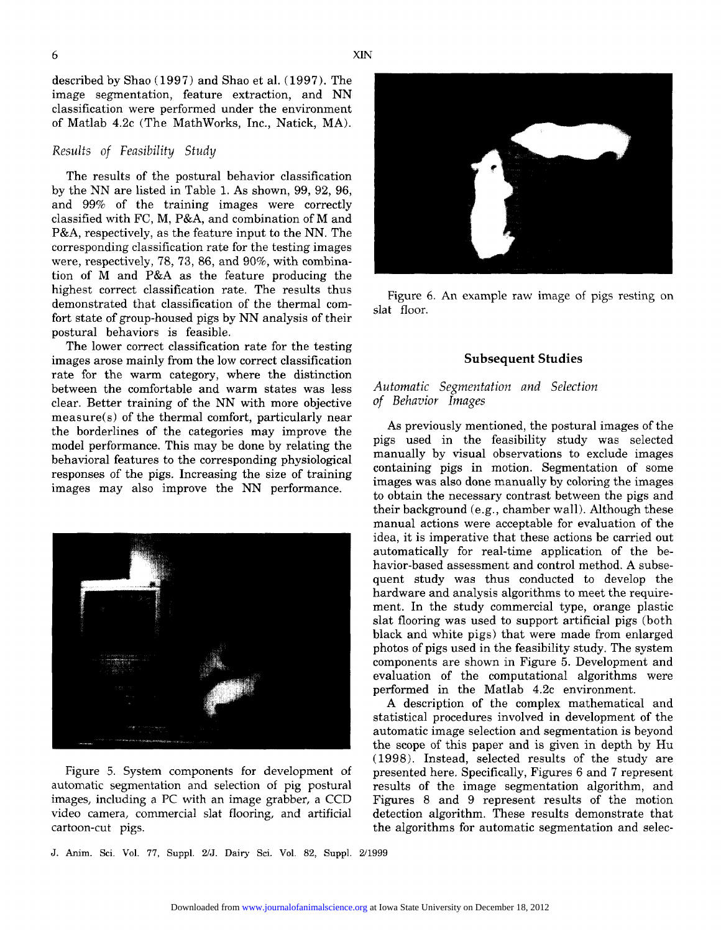described by Shao (1997) and Shao et al. (1997). The image segmentation, feature extraction, and NN classification were performed under the environment of Matlab 4.2c (The MathWorks, Inc., Natick, MA).

## *Results* of *Feasibility Study*

The results of the postural behavior classification by the NN are listed in Table 1. **As** shown, 99, 92, 96, and 99% of the training images were correctly classified with FC, M, **P&A,** and combination of M and P&A, respectively, as the feature input to the NN. The corresponding classification rate for the testing images were, respectively, 78, 73, 86, and 90%, with combination of M and P&A as the feature producing the highest correct classification rate. The results thus demonstrated that classification of the thermal comfort state of group-housed pigs by NN analysis of their postural behaviors is feasible.

The lower correct classification rate for the testing images arose mainly from the low correct classification rate for the warm category, where the distinction between the comfortable and warm states was less clear. Better training of the NN with more objective  $measure(s)$  of the thermal comfort, particularly near the borderlines of the categories may improve the model performance. This may be done by relating the behavioral features to the corresponding physiological responses of the pigs. Increasing the size of training images may also improve the NN performance.



Figure 5. System components for development of automatic segmentation and selection of pig postural images, including a PC with an image grabber, a CCD video camera, commercial slat flooring, and artificial cartoon-cut pigs.



Figure 6. An example raw image of pigs resting on slat floor.

#### **Subsequent Studies**

## *Automatic Segmentation and Selection of Behavior Images*

As previously mentioned, the postural images of the pigs used in the feasibility study was selected manually by visual observations to exclude images containing pigs in motion. Segmentation of some images was also done manually by coloring the images to obtain the necessary contrast between the pigs and their background (e.g., chamber wall). Although these manual actions were acceptable for evaluation of the idea, it is imperative that these actions be carried out automatically for real-time application of the behavior-based assessment and control method. **A** subsequent study was thus conducted to develop the hardware and analysis algorithms to meet the requirement. In the study commercial type, orange plastic slat flooring was used to support artificial pigs (both black and white pigs) that were made from enlarged photos of pigs used in the feasibility study. The system components are shown in Figure *5.* Development and evaluation of the computational algorithms were performed in the Matlab 4.2c environment.

A description of the complex mathematical and statistical procedures involved in development of the automatic image selection and segmentation is beyond the scope of this paper and is given in depth by Hu (1998). Instead, selected results of the study are presented here. Specifically, Figures 6 and 7 represent results of the image segmentation algorithm, and Figures 8 and 9 represent results of the motion detection algorithm. These results demonstrate that the algorithms for automatic segmentation and selec-

**J. Anim.** Sci. **Vol. 77, Suppl.** *215.* **Dairy** Sci. **Vol. 82, Suppl.** *2/1999*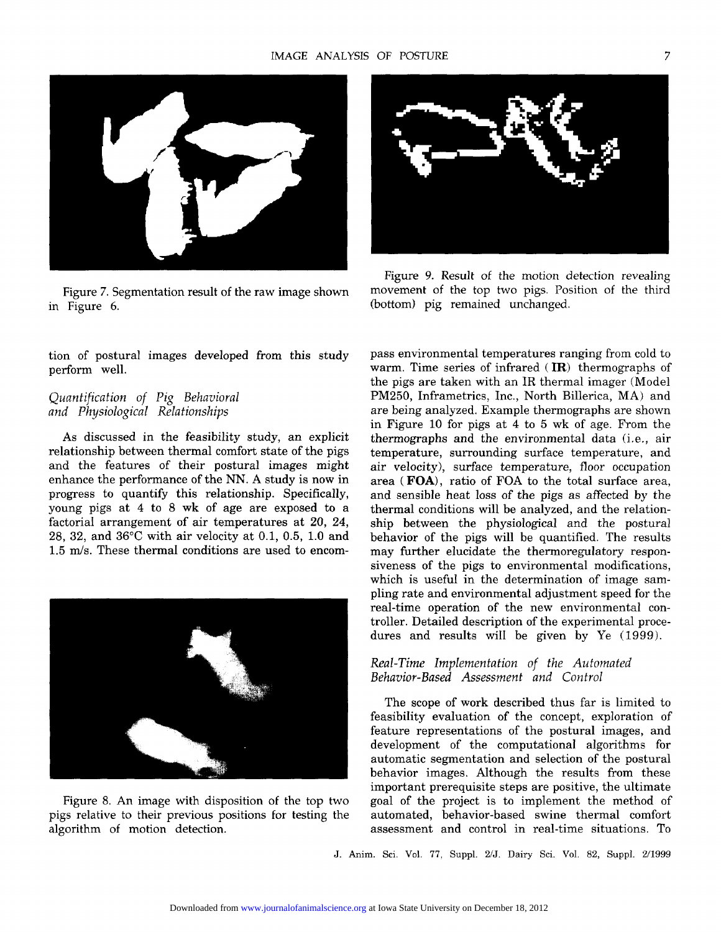

Figure 7. Segmentation result of the raw image shown in Figure **6.** 

Figure 9. Result of the motion detection revealing movement of the top two pigs. Position of the third (bottom) pig remained unchanged.

tion of postural images developed from this study perform well.

## *Quantification of Pig Behavioral*  and Physiological Relationships

As discussed in the feasibility study, an explicit relationship between thermal comfort state of the pigs and the features of their postural images might enhance the performance of the NN. **A** study is now in progress to quantify this relationship. Specifically, young pigs at **4** to 8 **wk** of age are exposed to a factorial arrangement of air temperatures at 20, **24,**  28, 32, and **36°C** with air velocity at 0.1, 0.5, 1.0 and 1.5 m/s. These thermal conditions are used to encom-



pigs relative to their previous positions for testing the algorithm of motion detection. assessment and control in real-time situations. To Figure 8. An image with disposition of the top two

pass environmental temperatures ranging from cold to warm. Time series of infrared **(IR)** thermographs of the pigs are taken with an IR thermal imager (Model PM250, Inframetrics, Inc., North Billerica, **MA)** and are being analyzed. Example thermographs are shown in Figure 10 for pigs at **4** to 5 **wk** of age. From the thermographs and the environmental data (i,e., air temperature, surrounding surface temperature, and air velocity), surface temperature, floor occupation area ( **FOA),** ratio of FOA to the total surface area, and sensible heat loss of the pigs as affected by the thermal conditions will be analyzed, and the relationship between the physiological and the postural behavior of the pigs will be quantified. The results may further elucidate the thermoregulatory responsiveness of the pigs to environmental modifications, which is useful in the determination of image sampling rate and environmental adjustment speed for the real-time operation of the new environmental controller. Detailed description of the experimental procedures and results will be given by Ye (1999).

## *Real-Time Implementation of the Aufomafed Behavior-Based Assessment and Control*

The scope of work described thus far is limited to feasibility evaluation of the concept, exploration of feature representations of the postural images, and development of the computational algorithms for automatic segmentation and selection of the postural behavior images. Although the results from these important prerequisite steps are positive, the ultimate goal of the project is to implement the method of

J. **him.** Sci. Vol. *77,* Suppl. 215. Dairy Sci. Vol. 82, Suppl. 2/1999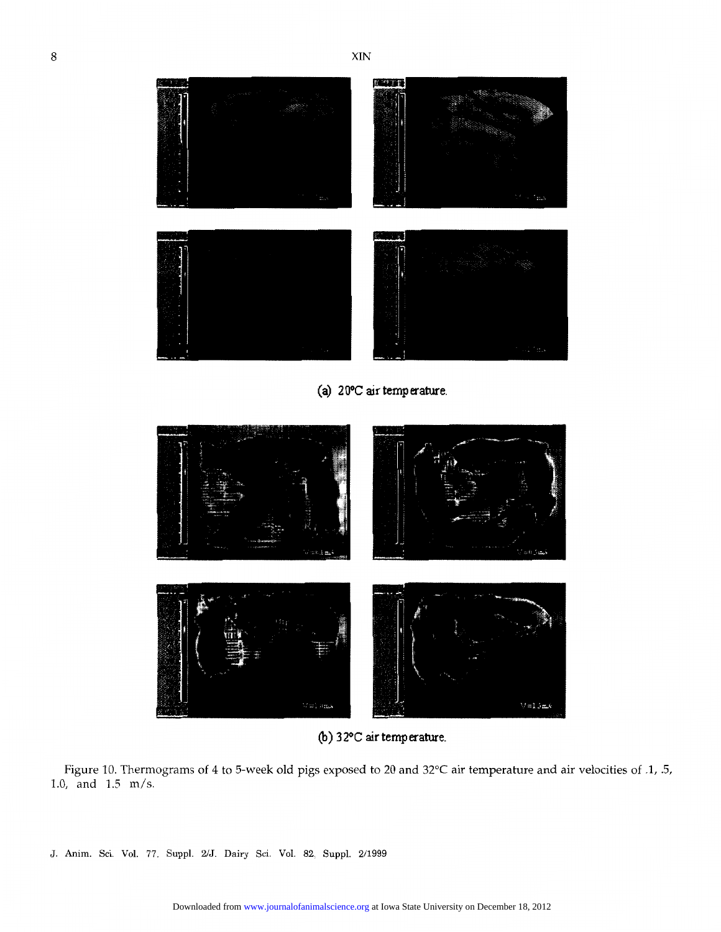

**(a) 2 OOC air** temperature.



@) **3 2OC air** temperature.

Figure 10. Thermograms of 4 to 5-week old pigs exposed to 20 and 32°C air temperature and air velocities of .1, .5, 1.0, and 1.5 m/s.

J. him. Sci. Vol. 77, Suppl. *215.* Dairy Sci. Vol. *82,* Suppl. 211999